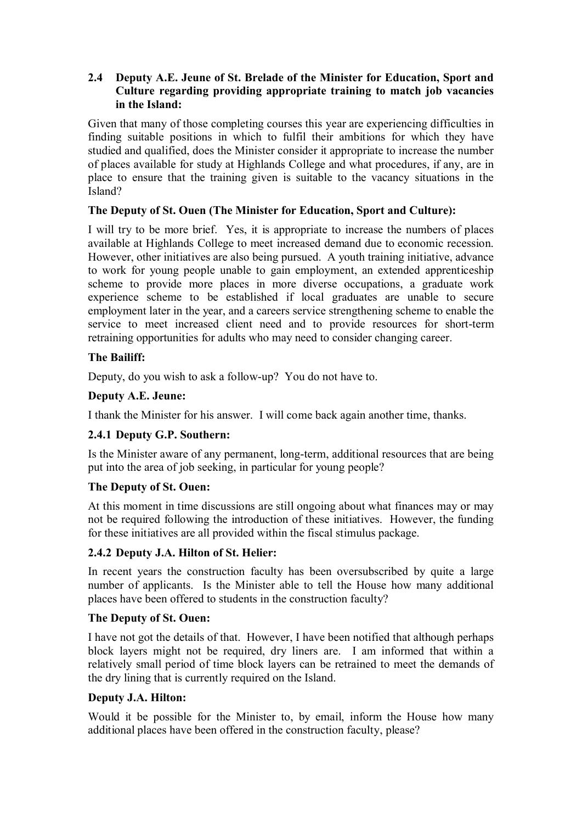### **2.4** � **Deputy A.E. Jeune of St. Brelade of the Minister for Education, Sport and Culture regarding providing appropriate training to match job vacancies in the Island:**

Given that many of those completing courses this year are experiencing difficulties in finding suitable positions in which to fulfil their ambitions for which they have studied and qualified, does the Minister consider it appropriate to increase the number of places available for study at Highlands College and what procedures, if any, are in place to ensure that the training given is suitable to the vacancy situations in the Island?

## **The Deputy of St. Ouen (The Minister for Education, Sport and Culture):**

I will try to be more brief. Yes, it is appropriate to increase the numbers of places available at Highlands College to meet increased demand due to economic recession. However, other initiatives are also being pursued. A youth training initiative, advance to work for young people unable to gain employment, an extended apprenticeship scheme to provide more places in more diverse occupations, a graduate work experience scheme to be established if local graduates are unable to secure employment later in the year, and a careers service strengthening scheme to enable the service to meet increased client need and to provide resources for short-term retraining opportunities for adults who may need to consider changing career.

## **The Bailiff:**

Deputy, do you wish to ask a follow-up? You do not have to.

## **Deputy A.E. Jeune:**

I thank the Minister for his answer. I will come back again another time, thanks.

# **2.4.1 Deputy G.P. Southern:**

Is the Minister aware of any permanent, long-term, additional resources that are being put into the area of job seeking, in particular for young people?

### **The Deputy of St. Ouen:**

At this moment in time discussions are still ongoing about what finances may or may not be required following the introduction of these initiatives. However, the funding for these initiatives are all provided within the fiscal stimulus package.

# **2.4.2 Deputy J.A. Hilton of St. Helier:**

In recent years the construction faculty has been oversubscribed by quite a large number of applicants. Is the Minister able to tell the House how many additional places have been offered to students in the construction faculty?

### **The Deputy of St. Ouen:**

I have not got the details of that. However, I have been notified that although perhaps block layers might not be required, dry liners are. I am informed that within a relatively small period of time block layers can be retrained to meet the demands of the dry lining that is currently required on the Island.

### **Deputy J.A. Hilton:**

Would it be possible for the Minister to, by email, inform the House how many additional places have been offered in the construction faculty, please?